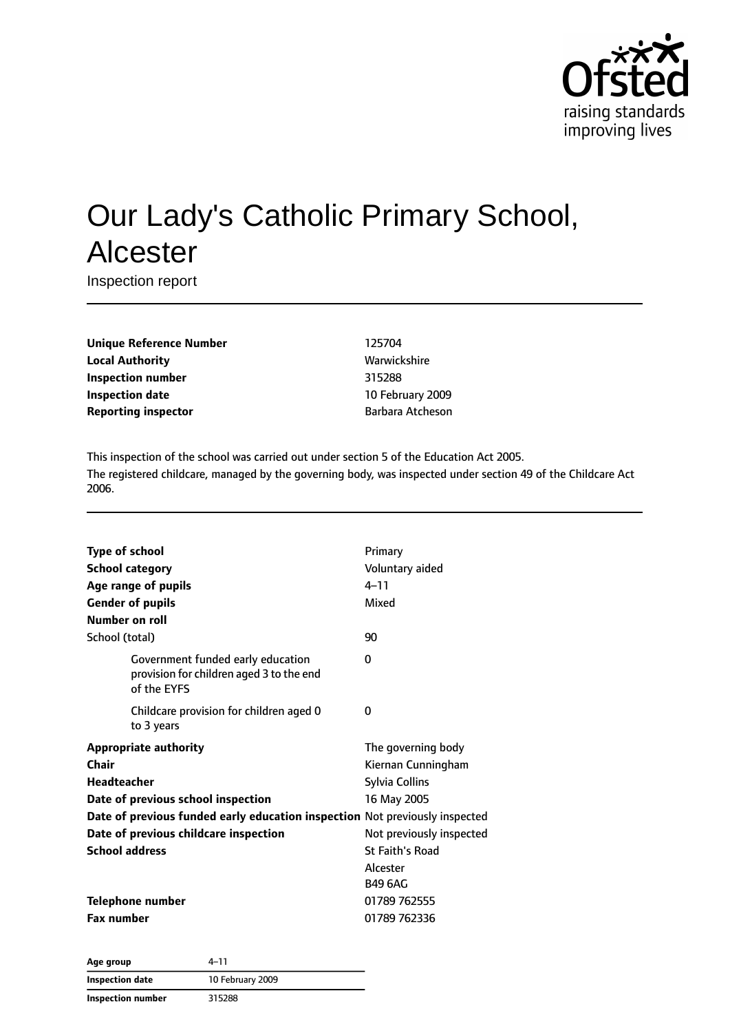

# Our Lady's Catholic Primary School, Alcester

Inspection report

**Unique Reference Number** 125704 **Local Authority Mathority** Warwickshire **Inspection number** 315288 **Inspection date** 10 February 2009 **Reporting inspector Barbara Atcheson** 

This inspection of the school was carried out under section 5 of the Education Act 2005. The registered childcare, managed by the governing body, was inspected under section 49 of the Childcare Act 2006.

| <b>Type of school</b><br><b>School category</b><br>Age range of pupils<br><b>Gender of pupils</b><br><b>Number on roll</b>                                                                                                                  | Primary<br>Voluntary aided<br>$4 - 11$<br>Mixed                                                                                                                      |
|---------------------------------------------------------------------------------------------------------------------------------------------------------------------------------------------------------------------------------------------|----------------------------------------------------------------------------------------------------------------------------------------------------------------------|
| School (total)                                                                                                                                                                                                                              | 90                                                                                                                                                                   |
| Government funded early education<br>provision for children aged 3 to the end<br>of the EYFS                                                                                                                                                | 0                                                                                                                                                                    |
| Childcare provision for children aged 0<br>to 3 years                                                                                                                                                                                       | 0                                                                                                                                                                    |
| <b>Appropriate authority</b><br>Chair<br>Headteacher<br>Date of previous school inspection<br>Date of previous funded early education inspection Not previously inspected<br>Date of previous childcare inspection<br><b>School address</b> | The governing body<br>Kiernan Cunningham<br><b>Sylvia Collins</b><br>16 May 2005<br>Not previously inspected<br><b>St Faith's Road</b><br>Alcester<br><b>B49 6AG</b> |
| Telephone number<br><b>Fax number</b>                                                                                                                                                                                                       | 01789 762555<br>01789 762336                                                                                                                                         |

**Age group** 4–11 **Inspection date** 10 February 2009 **Inspection number** 315288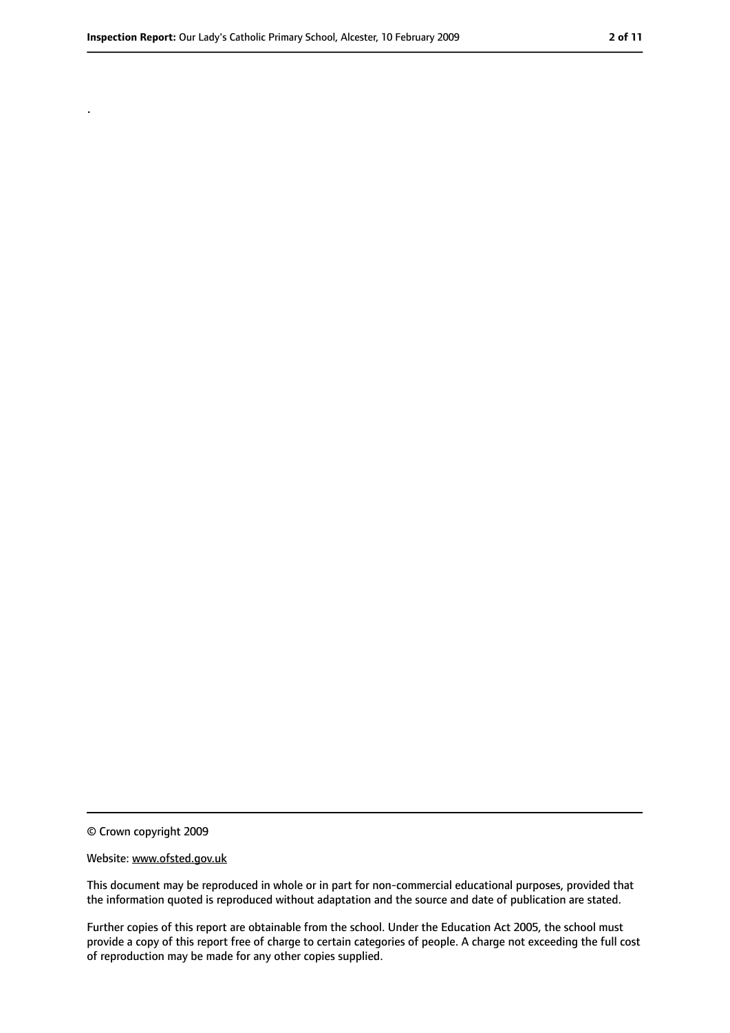.

<sup>©</sup> Crown copyright 2009

Website: www.ofsted.gov.uk

This document may be reproduced in whole or in part for non-commercial educational purposes, provided that the information quoted is reproduced without adaptation and the source and date of publication are stated.

Further copies of this report are obtainable from the school. Under the Education Act 2005, the school must provide a copy of this report free of charge to certain categories of people. A charge not exceeding the full cost of reproduction may be made for any other copies supplied.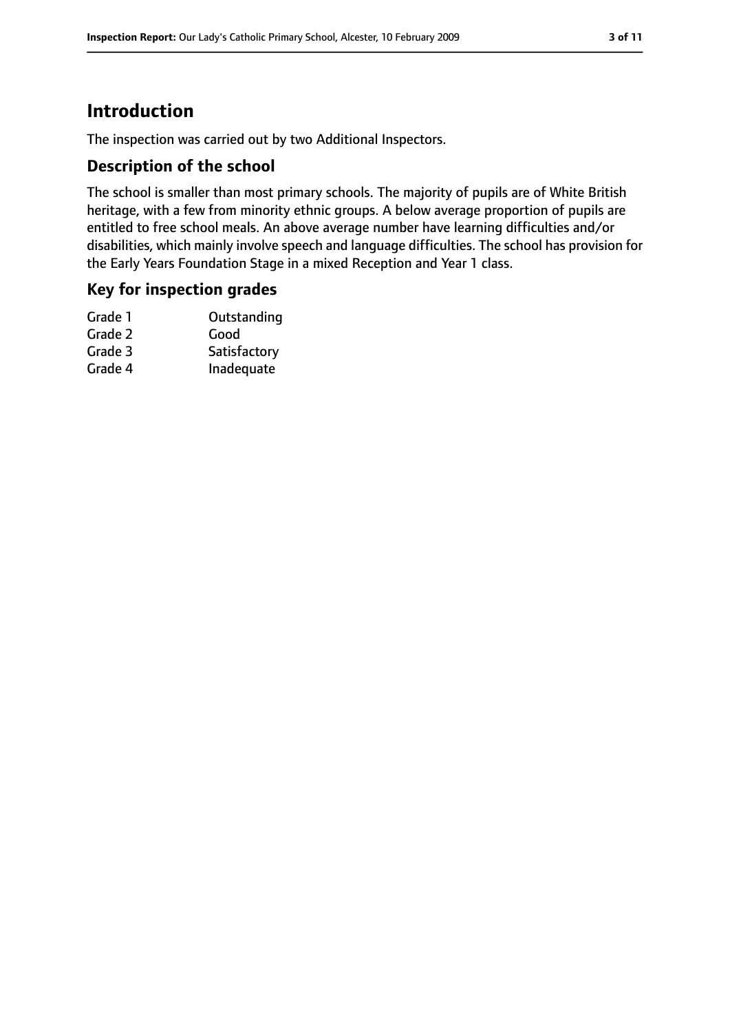### **Introduction**

The inspection was carried out by two Additional Inspectors.

#### **Description of the school**

The school is smaller than most primary schools. The majority of pupils are of White British heritage, with a few from minority ethnic groups. A below average proportion of pupils are entitled to free school meals. An above average number have learning difficulties and/or disabilities, which mainly involve speech and language difficulties. The school has provision for the Early Years Foundation Stage in a mixed Reception and Year 1 class.

#### **Key for inspection grades**

| Grade 1 | Outstanding  |
|---------|--------------|
| Grade 2 | Good         |
| Grade 3 | Satisfactory |
| Grade 4 | Inadequate   |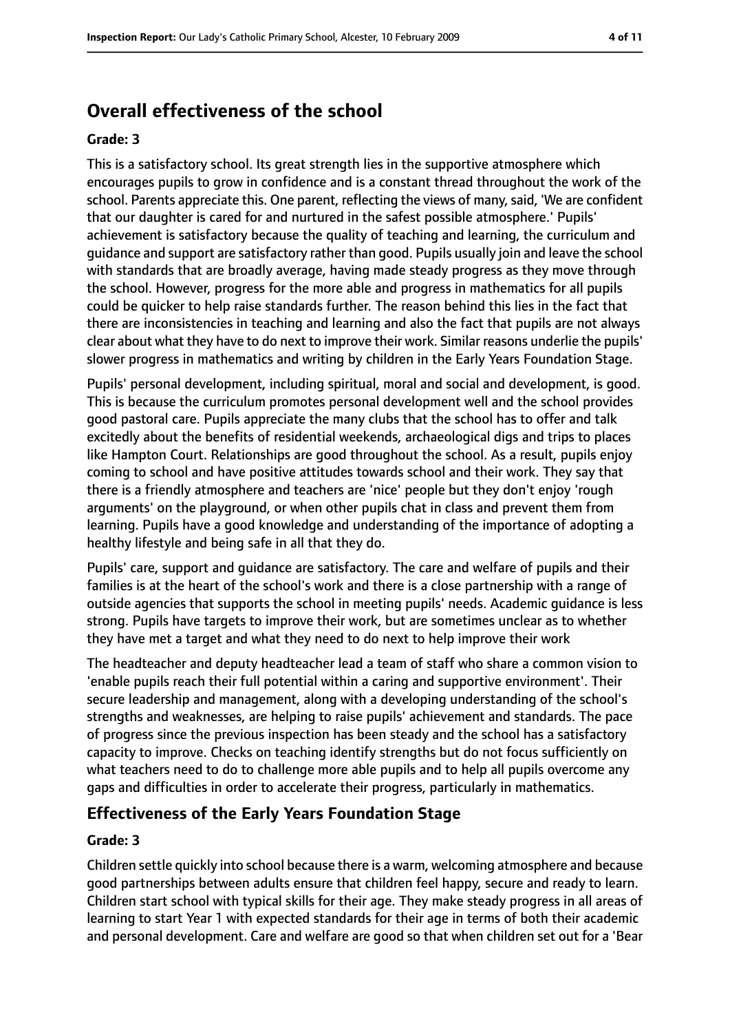### **Overall effectiveness of the school**

#### **Grade: 3**

This is a satisfactory school. Its great strength lies in the supportive atmosphere which encourages pupils to grow in confidence and is a constant thread throughout the work of the school. Parents appreciate this. One parent, reflecting the views of many, said, 'We are confident that our daughter is cared for and nurtured in the safest possible atmosphere.' Pupils' achievement is satisfactory because the quality of teaching and learning, the curriculum and guidance and support are satisfactory rather than good. Pupils usually join and leave the school with standards that are broadly average, having made steady progress as they move through the school. However, progress for the more able and progress in mathematics for all pupils could be quicker to help raise standards further. The reason behind this lies in the fact that there are inconsistencies in teaching and learning and also the fact that pupils are not always clear about what they have to do next to improve their work. Similar reasons underlie the pupils' slower progress in mathematics and writing by children in the Early Years Foundation Stage.

Pupils' personal development, including spiritual, moral and social and development, is good. This is because the curriculum promotes personal development well and the school provides good pastoral care. Pupils appreciate the many clubs that the school has to offer and talk excitedly about the benefits of residential weekends, archaeological digs and trips to places like Hampton Court. Relationships are good throughout the school. As a result, pupils enjoy coming to school and have positive attitudes towards school and their work. They say that there is a friendly atmosphere and teachers are 'nice' people but they don't enjoy 'rough arguments' on the playground, or when other pupils chat in class and prevent them from learning. Pupils have a good knowledge and understanding of the importance of adopting a healthy lifestyle and being safe in all that they do.

Pupils' care, support and guidance are satisfactory. The care and welfare of pupils and their families is at the heart of the school's work and there is a close partnership with a range of outside agencies that supports the school in meeting pupils' needs. Academic guidance is less strong. Pupils have targets to improve their work, but are sometimes unclear as to whether they have met a target and what they need to do next to help improve their work

The headteacher and deputy headteacher lead a team of staff who share a common vision to 'enable pupils reach their full potential within a caring and supportive environment'. Their secure leadership and management, along with a developing understanding of the school's strengths and weaknesses, are helping to raise pupils' achievement and standards. The pace of progress since the previous inspection has been steady and the school has a satisfactory capacity to improve. Checks on teaching identify strengths but do not focus sufficiently on what teachers need to do to challenge more able pupils and to help all pupils overcome any gaps and difficulties in order to accelerate their progress, particularly in mathematics.

#### **Effectiveness of the Early Years Foundation Stage**

#### **Grade: 3**

Children settle quickly into school because there is a warm, welcoming atmosphere and because good partnerships between adults ensure that children feel happy, secure and ready to learn. Children start school with typical skills for their age. They make steady progress in all areas of learning to start Year 1 with expected standards for their age in terms of both their academic and personal development. Care and welfare are good so that when children set out for a 'Bear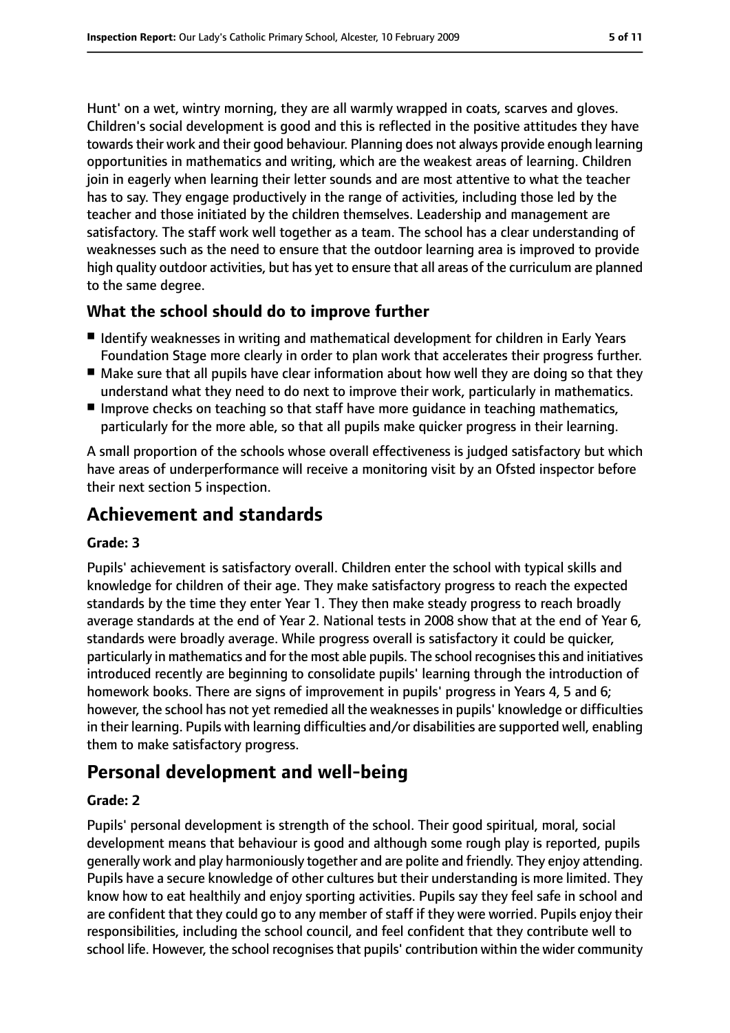Hunt' on a wet, wintry morning, they are all warmly wrapped in coats, scarves and gloves. Children's social development is good and this is reflected in the positive attitudes they have towards their work and their good behaviour. Planning does not always provide enough learning opportunities in mathematics and writing, which are the weakest areas of learning. Children join in eagerly when learning their letter sounds and are most attentive to what the teacher has to say. They engage productively in the range of activities, including those led by the teacher and those initiated by the children themselves. Leadership and management are satisfactory. The staff work well together as a team. The school has a clear understanding of weaknesses such as the need to ensure that the outdoor learning area is improved to provide high quality outdoor activities, but has yet to ensure that all areas of the curriculum are planned to the same degree.

#### **What the school should do to improve further**

- Identify weaknesses in writing and mathematical development for children in Early Years Foundation Stage more clearly in order to plan work that accelerates their progress further.
- Make sure that all pupils have clear information about how well they are doing so that they understand what they need to do next to improve their work, particularly in mathematics.
- Improve checks on teaching so that staff have more quidance in teaching mathematics, particularly for the more able, so that all pupils make quicker progress in their learning.

A small proportion of the schools whose overall effectiveness is judged satisfactory but which have areas of underperformance will receive a monitoring visit by an Ofsted inspector before their next section 5 inspection.

### **Achievement and standards**

#### **Grade: 3**

Pupils' achievement is satisfactory overall. Children enter the school with typical skills and knowledge for children of their age. They make satisfactory progress to reach the expected standards by the time they enter Year 1. They then make steady progress to reach broadly average standards at the end of Year 2. National tests in 2008 show that at the end of Year 6, standards were broadly average. While progress overall is satisfactory it could be quicker, particularly in mathematics and for the most able pupils. The school recognisesthis and initiatives introduced recently are beginning to consolidate pupils' learning through the introduction of homework books. There are signs of improvement in pupils' progress in Years 4, 5 and 6; however, the school has not yet remedied all the weaknesses in pupils' knowledge or difficulties in their learning. Pupils with learning difficulties and/or disabilities are supported well, enabling them to make satisfactory progress.

### **Personal development and well-being**

#### **Grade: 2**

Pupils' personal development is strength of the school. Their good spiritual, moral, social development means that behaviour is good and although some rough play is reported, pupils generally work and play harmoniously together and are polite and friendly. They enjoy attending. Pupils have a secure knowledge of other cultures but their understanding is more limited. They know how to eat healthily and enjoy sporting activities. Pupils say they feel safe in school and are confident that they could go to any member of staff if they were worried. Pupils enjoy their responsibilities, including the school council, and feel confident that they contribute well to school life. However, the school recognises that pupils' contribution within the wider community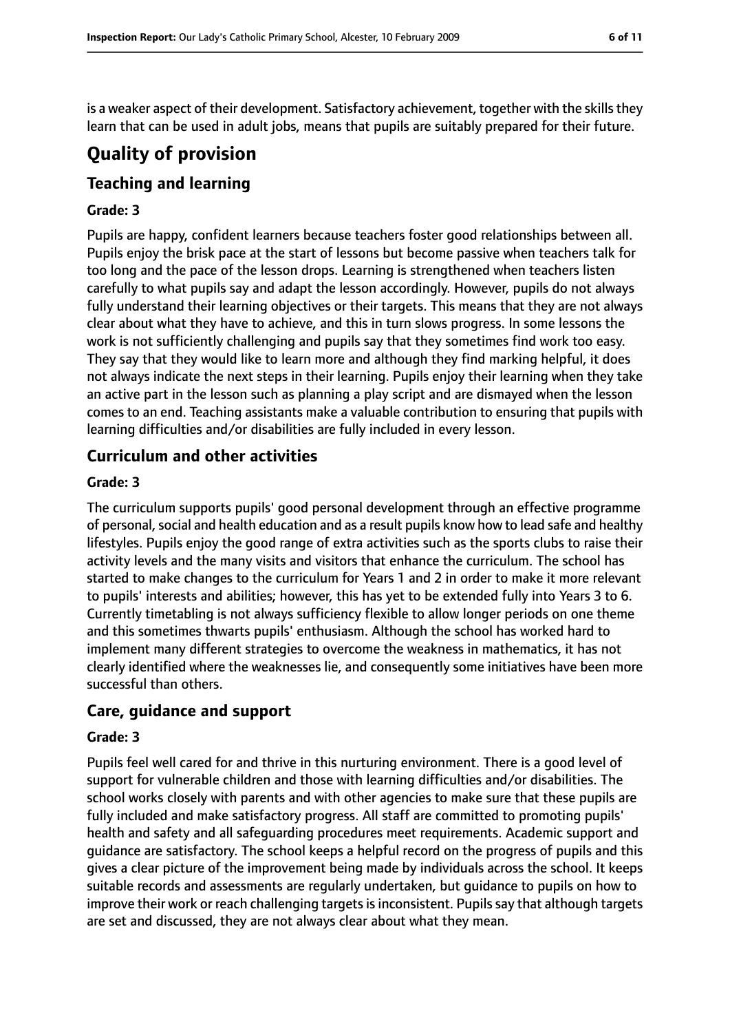is a weaker aspect of their development. Satisfactory achievement, together with the skills they learn that can be used in adult jobs, means that pupils are suitably prepared for their future.

### **Quality of provision**

### **Teaching and learning**

#### **Grade: 3**

Pupils are happy, confident learners because teachers foster good relationships between all. Pupils enjoy the brisk pace at the start of lessons but become passive when teachers talk for too long and the pace of the lesson drops. Learning is strengthened when teachers listen carefully to what pupils say and adapt the lesson accordingly. However, pupils do not always fully understand their learning objectives or their targets. This means that they are not always clear about what they have to achieve, and this in turn slows progress. In some lessons the work is not sufficiently challenging and pupils say that they sometimes find work too easy. They say that they would like to learn more and although they find marking helpful, it does not always indicate the next steps in their learning. Pupils enjoy their learning when they take an active part in the lesson such as planning a play script and are dismayed when the lesson comes to an end. Teaching assistants make a valuable contribution to ensuring that pupils with learning difficulties and/or disabilities are fully included in every lesson.

#### **Curriculum and other activities**

#### **Grade: 3**

The curriculum supports pupils' good personal development through an effective programme of personal, social and health education and as a result pupils know how to lead safe and healthy lifestyles. Pupils enjoy the good range of extra activities such as the sports clubs to raise their activity levels and the many visits and visitors that enhance the curriculum. The school has started to make changes to the curriculum for Years 1 and 2 in order to make it more relevant to pupils' interests and abilities; however, this has yet to be extended fully into Years 3 to 6. Currently timetabling is not always sufficiency flexible to allow longer periods on one theme and this sometimes thwarts pupils' enthusiasm. Although the school has worked hard to implement many different strategies to overcome the weakness in mathematics, it has not clearly identified where the weaknesses lie, and consequently some initiatives have been more successful than others.

#### **Care, guidance and support**

#### **Grade: 3**

Pupils feel well cared for and thrive in this nurturing environment. There is a good level of support for vulnerable children and those with learning difficulties and/or disabilities. The school works closely with parents and with other agencies to make sure that these pupils are fully included and make satisfactory progress. All staff are committed to promoting pupils' health and safety and all safeguarding procedures meet requirements. Academic support and guidance are satisfactory. The school keeps a helpful record on the progress of pupils and this gives a clear picture of the improvement being made by individuals across the school. It keeps suitable records and assessments are regularly undertaken, but guidance to pupils on how to improve their work or reach challenging targets is inconsistent. Pupils say that although targets are set and discussed, they are not always clear about what they mean.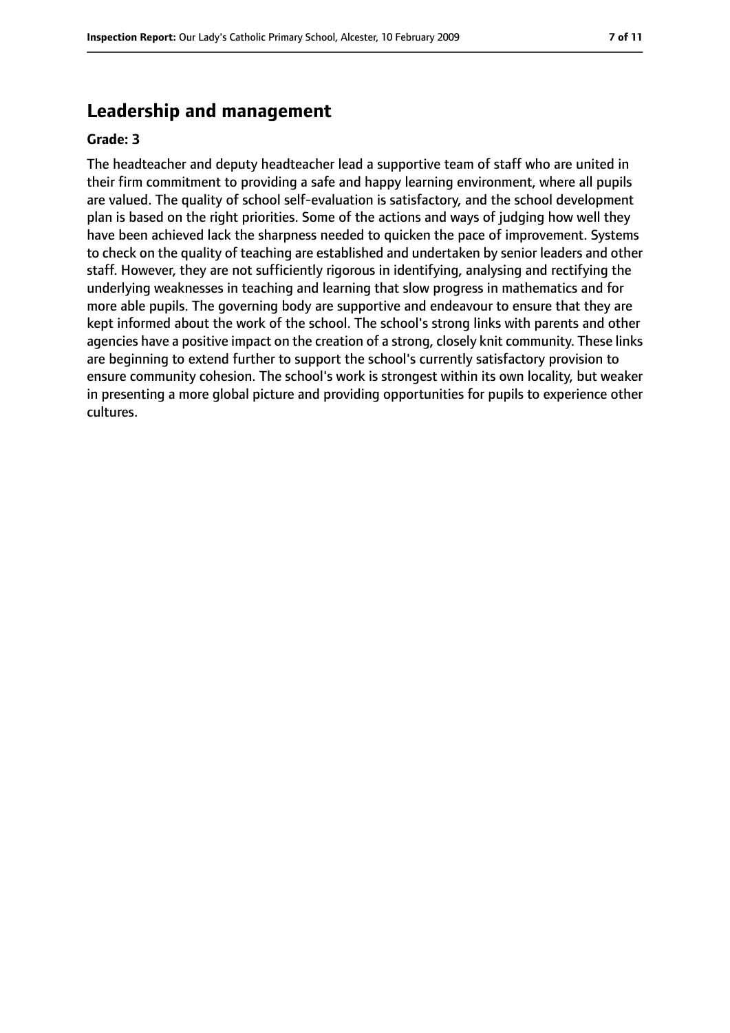### **Leadership and management**

#### **Grade: 3**

The headteacher and deputy headteacher lead a supportive team of staff who are united in their firm commitment to providing a safe and happy learning environment, where all pupils are valued. The quality of school self-evaluation is satisfactory, and the school development plan is based on the right priorities. Some of the actions and ways of judging how well they have been achieved lack the sharpness needed to quicken the pace of improvement. Systems to check on the quality of teaching are established and undertaken by senior leaders and other staff. However, they are not sufficiently rigorous in identifying, analysing and rectifying the underlying weaknesses in teaching and learning that slow progress in mathematics and for more able pupils. The governing body are supportive and endeavour to ensure that they are kept informed about the work of the school. The school's strong links with parents and other agencies have a positive impact on the creation of a strong, closely knit community. These links are beginning to extend further to support the school's currently satisfactory provision to ensure community cohesion. The school's work is strongest within its own locality, but weaker in presenting a more global picture and providing opportunities for pupils to experience other cultures.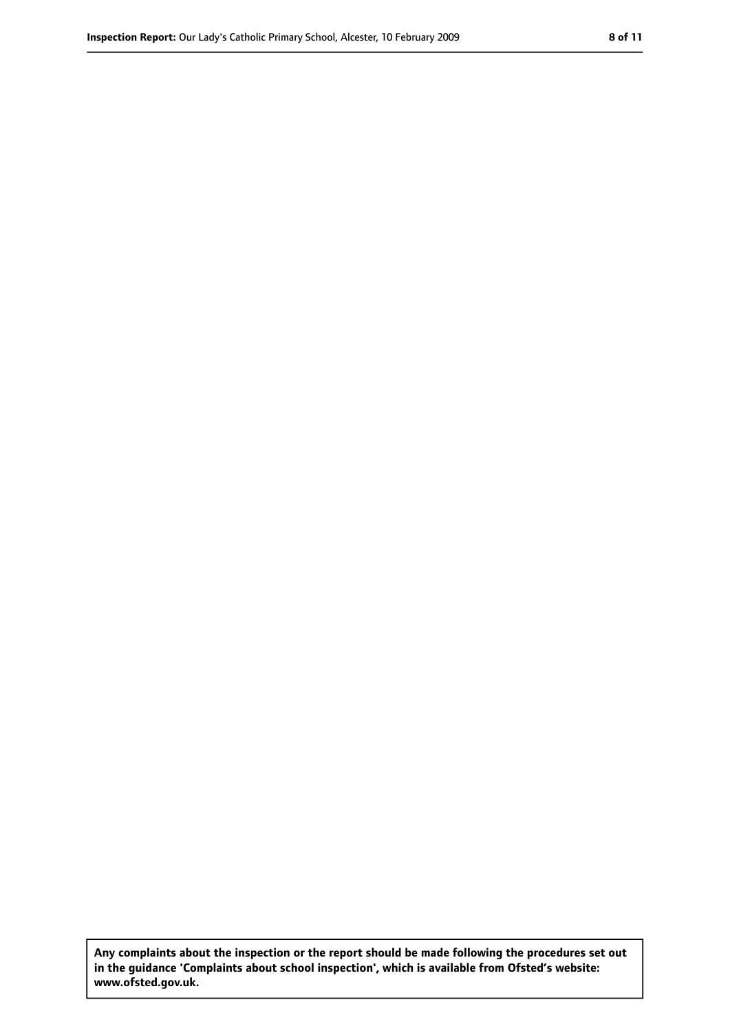**Any complaints about the inspection or the report should be made following the procedures set out in the guidance 'Complaints about school inspection', which is available from Ofsted's website: www.ofsted.gov.uk.**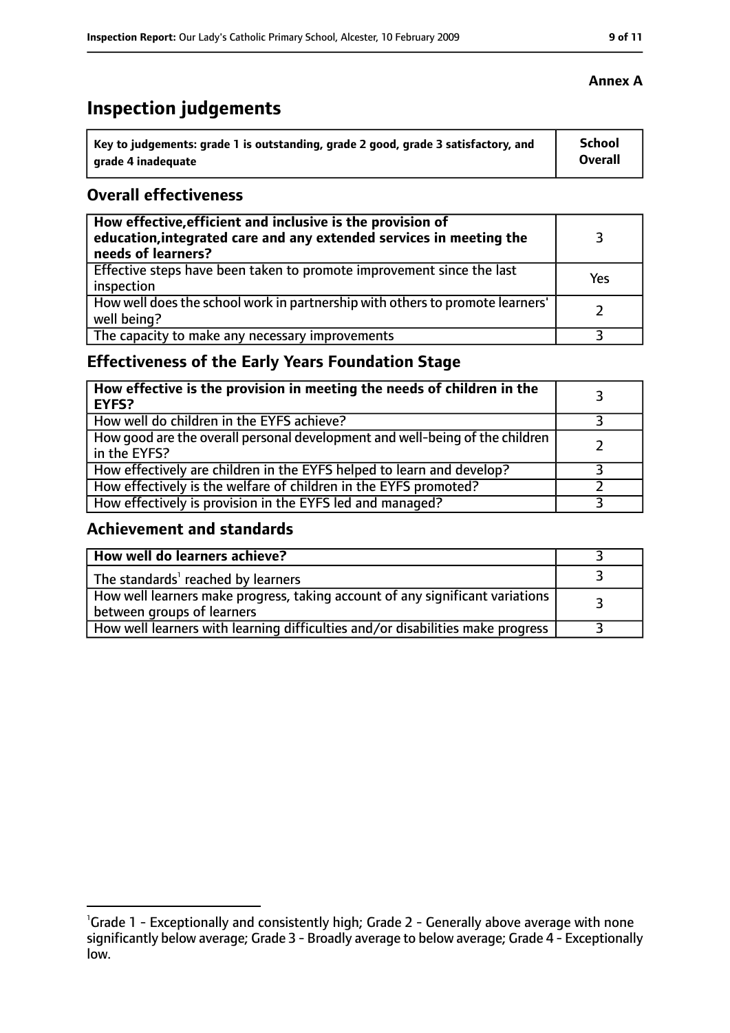## **Inspection judgements**

| Key to judgements: grade 1 is outstanding, grade 2 good, grade 3 satisfactory, and | <b>School</b> |
|------------------------------------------------------------------------------------|---------------|
| arade 4 inadequate                                                                 | Overall       |

#### **Overall effectiveness**

| How effective, efficient and inclusive is the provision of<br>education, integrated care and any extended services in meeting the<br>needs of learners? |     |
|---------------------------------------------------------------------------------------------------------------------------------------------------------|-----|
| Effective steps have been taken to promote improvement since the last<br>inspection                                                                     | Yes |
| How well does the school work in partnership with others to promote learners'<br>well being?                                                            |     |
| The capacity to make any necessary improvements                                                                                                         |     |

### **Effectiveness of the Early Years Foundation Stage**

| How effective is the provision in meeting the needs of children in the<br><b>EYFS?</b>       |  |
|----------------------------------------------------------------------------------------------|--|
| How well do children in the EYFS achieve?                                                    |  |
| How good are the overall personal development and well-being of the children<br>in the EYFS? |  |
| How effectively are children in the EYFS helped to learn and develop?                        |  |
| How effectively is the welfare of children in the EYFS promoted?                             |  |
| How effectively is provision in the EYFS led and managed?                                    |  |

### **Achievement and standards**

| How well do learners achieve?                                                                               |  |
|-------------------------------------------------------------------------------------------------------------|--|
| The standards <sup>1</sup> reached by learners                                                              |  |
| How well learners make progress, taking account of any significant variations<br>between groups of learners |  |
| How well learners with learning difficulties and/or disabilities make progress                              |  |

<sup>&</sup>lt;sup>1</sup>Grade 1 - Exceptionally and consistently high; Grade 2 - Generally above average with none significantly below average; Grade 3 - Broadly average to below average; Grade 4 - Exceptionally low.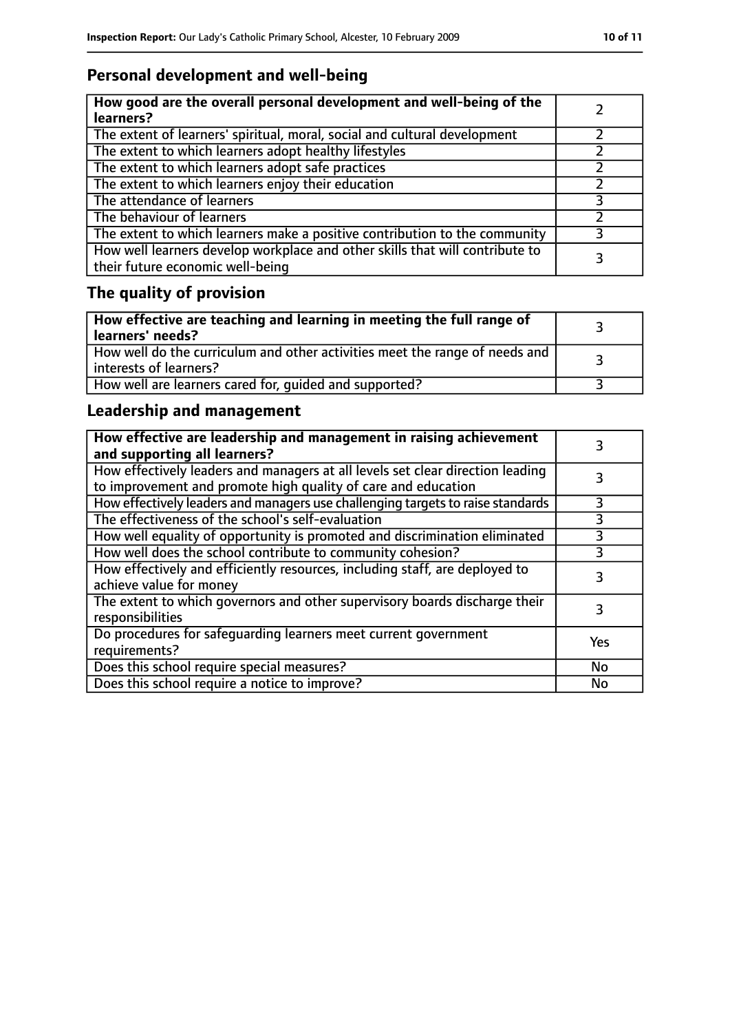### **Personal development and well-being**

| How good are the overall personal development and well-being of the<br>learners?                                 |  |
|------------------------------------------------------------------------------------------------------------------|--|
| The extent of learners' spiritual, moral, social and cultural development                                        |  |
| The extent to which learners adopt healthy lifestyles                                                            |  |
| The extent to which learners adopt safe practices                                                                |  |
| The extent to which learners enjoy their education                                                               |  |
| The attendance of learners                                                                                       |  |
| The behaviour of learners                                                                                        |  |
| The extent to which learners make a positive contribution to the community                                       |  |
| How well learners develop workplace and other skills that will contribute to<br>their future economic well-being |  |

## **The quality of provision**

| How effective are teaching and learning in meeting the full range of<br>learners' needs?                |  |
|---------------------------------------------------------------------------------------------------------|--|
| How well do the curriculum and other activities meet the range of needs and<br>  interests of learners? |  |
| How well are learners cared for, quided and supported?                                                  |  |

### **Leadership and management**

| How effective are leadership and management in raising achievement<br>and supporting all learners?                                              |     |
|-------------------------------------------------------------------------------------------------------------------------------------------------|-----|
| How effectively leaders and managers at all levels set clear direction leading<br>to improvement and promote high quality of care and education |     |
| How effectively leaders and managers use challenging targets to raise standards                                                                 |     |
| The effectiveness of the school's self-evaluation                                                                                               | 3   |
| How well equality of opportunity is promoted and discrimination eliminated                                                                      | 3   |
| How well does the school contribute to community cohesion?                                                                                      | 3   |
| How effectively and efficiently resources, including staff, are deployed to<br>achieve value for money                                          | 3   |
| The extent to which governors and other supervisory boards discharge their<br>responsibilities                                                  |     |
| Do procedures for safequarding learners meet current government<br>requirements?                                                                | Yes |
| Does this school require special measures?                                                                                                      | No  |
| Does this school require a notice to improve?                                                                                                   | No  |